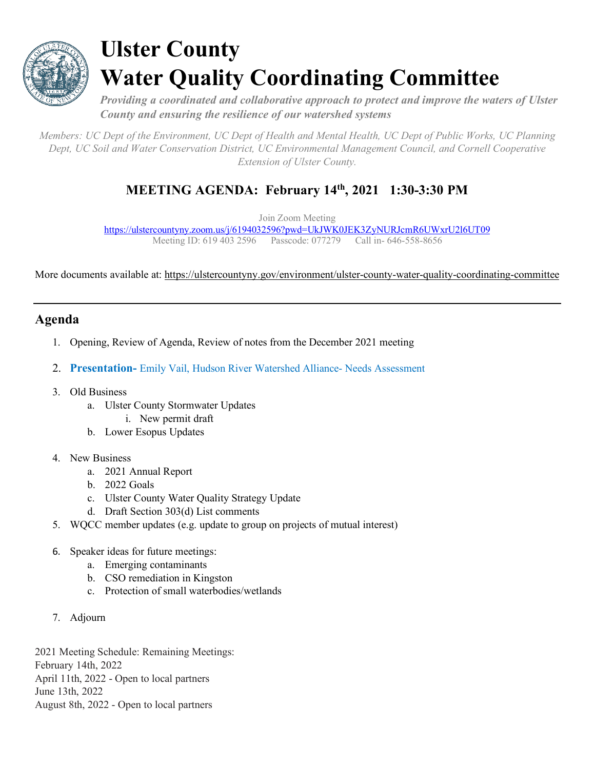

## **Ulster County Water Quality Coordinating Committee**

*Providing a coordinated and collaborative approach to protect and improve the waters of Ulster County and ensuring the resilience of our watershed systems*

*Members: UC Dept of the Environment, UC Dept of Health and Mental Health, UC Dept of Public Works, UC Planning Dept, UC Soil and Water Conservation District, UC Environmental Management Council, and Cornell Cooperative Extension of Ulster County.*

## **MEETING AGENDA: February 14th, 2021 1:30-3:30 PM**

Join Zoom Meeting

<https://ulstercountyny.zoom.us/j/6194032596?pwd=UkJWK0JEK3ZyNURJcmR6UWxrU2l6UT09> Meeting ID: 619 403 2596 Passcode: 077279 Call in- 646-558-8656

More documents available at:<https://ulstercountyny.gov/environment/ulster-county-water-quality-coordinating-committee>

## **Agenda**

- 1. Opening, Review of Agenda, Review of notes from the December 2021 meeting
- 2. **Presentation-** Emily Vail, Hudson River Watershed Alliance- Needs Assessment
- 3. Old Business
	- a. Ulster County Stormwater Updates
		- i. New permit draft
	- b. Lower Esopus Updates

## 4. New Business

- a. 2021 Annual Report
- b. 2022 Goals
- c. Ulster County Water Quality Strategy Update
- d. Draft Section 303(d) List comments
- 5. WQCC member updates (e.g. update to group on projects of mutual interest)
- 6. Speaker ideas for future meetings:
	- a. Emerging contaminants
	- b. CSO remediation in Kingston
	- c. Protection of small waterbodies/wetlands
- 7. Adjourn

2021 Meeting Schedule: Remaining Meetings: February 14th, 2022 April 11th, 2022 - Open to local partners June 13th, 2022 August 8th, 2022 - Open to local partners